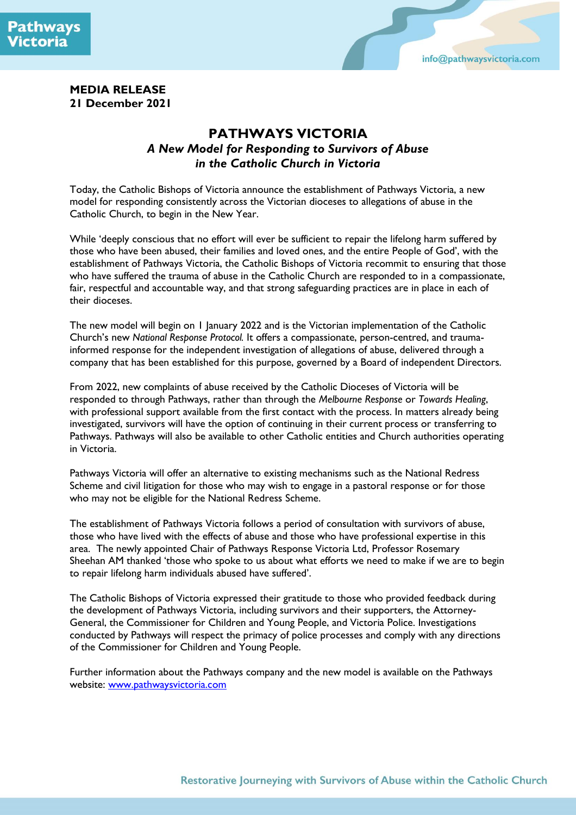



### **MEDIA RELEASE 21 December 2021**

# **PATHWAYS VICTORIA** *A New Model for Responding to Survivors of Abuse in the Catholic Church in Victoria*

Today, the Catholic Bishops of Victoria announce the establishment of Pathways Victoria, a new model for responding consistently across the Victorian dioceses to allegations of abuse in the Catholic Church, to begin in the New Year.

While 'deeply conscious that no effort will ever be sufficient to repair the lifelong harm suffered by those who have been abused, their families and loved ones, and the entire People of God', with the establishment of Pathways Victoria, the Catholic Bishops of Victoria recommit to ensuring that those who have suffered the trauma of abuse in the Catholic Church are responded to in a compassionate, fair, respectful and accountable way, and that strong safeguarding practices are in place in each of their dioceses.

The new model will begin on 1 January 2022 and is the Victorian implementation of the Catholic Church's new *National Response Protocol.* It offers a compassionate, person-centred, and traumainformed response for the independent investigation of allegations of abuse, delivered through a company that has been established for this purpose, governed by a Board of independent Directors.

From 2022, new complaints of abuse received by the Catholic Dioceses of Victoria will be responded to through Pathways, rather than through the *Melbourne Response* or *Towards Healing*, with professional support available from the first contact with the process. In matters already being investigated, survivors will have the option of continuing in their current process or transferring to Pathways. Pathways will also be available to other Catholic entities and Church authorities operating in Victoria.

Pathways Victoria will offer an alternative to existing mechanisms such as the National Redress Scheme and civil litigation for those who may wish to engage in a pastoral response or for those who may not be eligible for the National Redress Scheme.

The establishment of Pathways Victoria follows a period of consultation with survivors of abuse, those who have lived with the effects of abuse and those who have professional expertise in this area. The newly appointed Chair of Pathways Response Victoria Ltd, Professor Rosemary Sheehan AM thanked 'those who spoke to us about what efforts we need to make if we are to begin to repair lifelong harm individuals abused have suffered'.

The Catholic Bishops of Victoria expressed their gratitude to those who provided feedback during the development of Pathways Victoria, including survivors and their supporters, the Attorney-General, the Commissioner for Children and Young People, and Victoria Police. Investigations conducted by Pathways will respect the primacy of police processes and comply with any directions of the Commissioner for Children and Young People.

Further information about the Pathways company and the new model is available on the Pathways website: [www.pathwaysvictoria.com](http://www.pathwaysvictoria.com/)